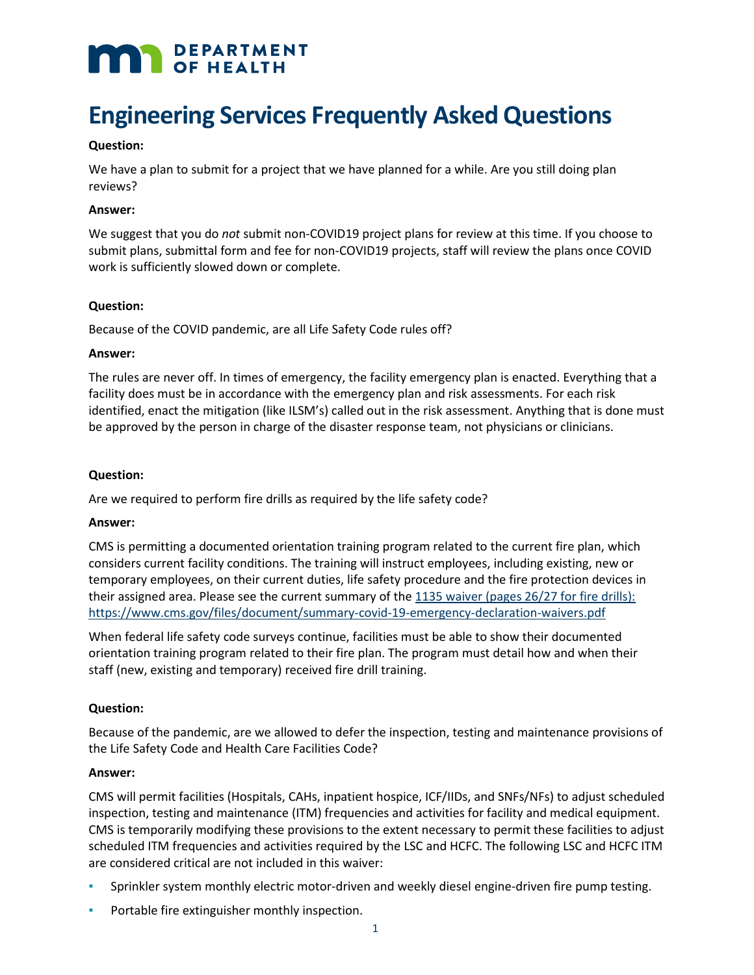# **MAN DEPARTMENT**

# **Engineering Services Frequently Asked Questions**

# **Question:**

We have a plan to submit for a project that we have planned for a while. Are you still doing plan reviews?

# **Answer:**

We suggest that you do *not* submit non-COVID19 project plans for review at this time. If you choose to submit plans, submittal form and fee for non-COVID19 projects, staff will review the plans once COVID work is sufficiently slowed down or complete.

# **Question:**

Because of the COVID pandemic, are all Life Safety Code rules off?

# **Answer:**

The rules are never off. In times of emergency, the facility emergency plan is enacted. Everything that a facility does must be in accordance with the emergency plan and risk assessments. For each risk identified, enact the mitigation (like ILSM's) called out in the risk assessment. Anything that is done must be approved by the person in charge of the disaster response team, not physicians or clinicians.

# **Question:**

Are we required to perform fire drills as required by the life safety code?

## **Answer:**

CMS is permitting a documented orientation training program related to the current fire plan, which considers current facility conditions. The training will instruct employees, including existing, new or temporary employees, on their current duties, life safety procedure and the fire protection devices in their assigned area. Please see the current summary of the [1135 waiver \(pages 26/27 for fire drills\):](https://www.cms.gov/files/document/summary-covid-19-emergency-declaration-waivers.pdf) <https://www.cms.gov/files/document/summary-covid-19-emergency-declaration-waivers.pdf>

When federal life safety code surveys continue, facilities must be able to show their documented orientation training program related to their fire plan. The program must detail how and when their staff (new, existing and temporary) received fire drill training.

# **Question:**

Because of the pandemic, are we allowed to defer the inspection, testing and maintenance provisions of the Life Safety Code and Health Care Facilities Code?

## **Answer:**

CMS will permit facilities (Hospitals, CAHs, inpatient hospice, ICF/IIDs, and SNFs/NFs) to adjust scheduled inspection, testing and maintenance (ITM) frequencies and activities for facility and medical equipment. CMS is temporarily modifying these provisions to the extent necessary to permit these facilities to adjust scheduled ITM frequencies and activities required by the LSC and HCFC. The following LSC and HCFC ITM are considered critical are not included in this waiver:

- Sprinkler system monthly electric motor-driven and weekly diesel engine-driven fire pump testing.
- Portable fire extinguisher monthly inspection.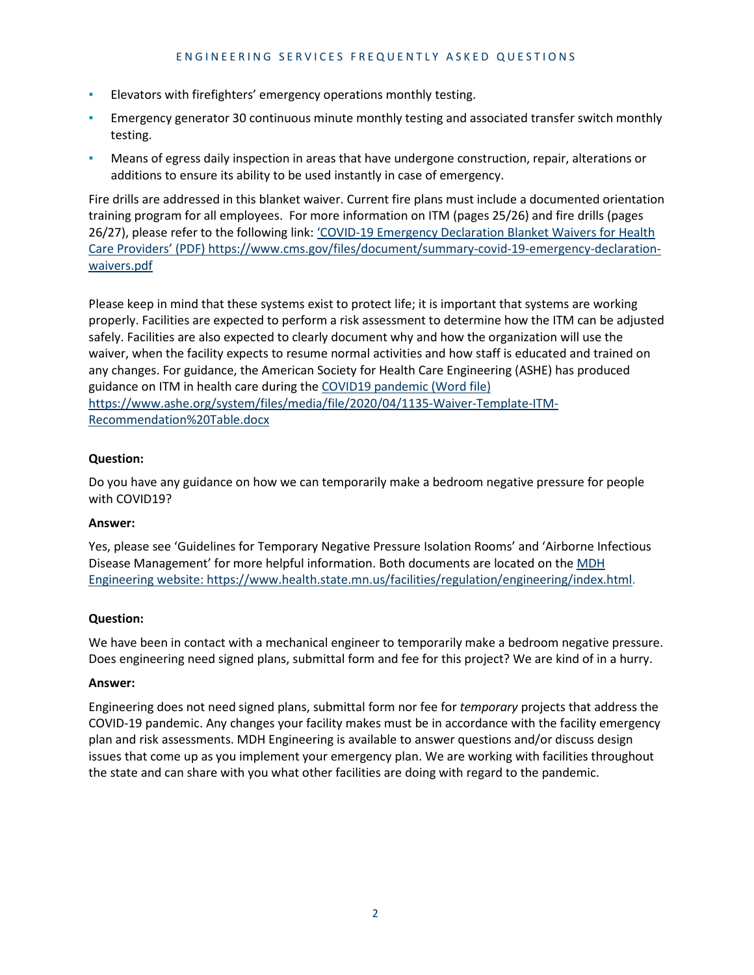- Elevators with firefighters' emergency operations monthly testing.
- Emergency generator 30 continuous minute monthly testing and associated transfer switch monthly testing.
- Means of egress daily inspection in areas that have undergone construction, repair, alterations or additions to ensure its ability to be used instantly in case of emergency.

Fire drills are addressed in this blanket waiver. Current fire plans must include a documented orientation training program for all employees. For more information on ITM (pages 25/26) and fire drills (pages 26/27), please refer to the following link: ['COVID-19 Emergency Declaration Blanket Waivers for Health](https://www.cms.gov/files/document/summary-covid-19-emergency-declaration-waivers.pdf)  [Care Providers' \(PDF\) https://www.cms.gov/files/document/summary-covid-19-emergency-declaration](https://www.cms.gov/files/document/summary-covid-19-emergency-declaration-waivers.pdf)[waivers.pdf](https://www.cms.gov/files/document/summary-covid-19-emergency-declaration-waivers.pdf)

Please keep in mind that these systems exist to protect life; it is important that systems are working properly. Facilities are expected to perform a risk assessment to determine how the ITM can be adjusted safely. Facilities are also expected to clearly document why and how the organization will use the waiver, when the facility expects to resume normal activities and how staff is educated and trained on any changes. For guidance, the American Society for Health Care Engineering (ASHE) has produced guidance on ITM in health care during the [COVID19 pandemic \(Word file\)](https://www.ashe.org/system/files/media/file/2020/04/1135-Waiver-Template-ITM-Recommendation%20Table.docx)  [https://www.ashe.org/system/files/media/file/2020/04/1135-Waiver-Template-ITM-](https://www.ashe.org/system/files/media/file/2020/04/1135-Waiver-Template-ITM-Recommendation%20Table.docx)[Recommendation%20Table.docx](https://www.ashe.org/system/files/media/file/2020/04/1135-Waiver-Template-ITM-Recommendation%20Table.docx)

# **Question:**

Do you have any guidance on how we can temporarily make a bedroom negative pressure for people with COVID19?

## **Answer:**

Yes, please see 'Guidelines for Temporary Negative Pressure Isolation Rooms' and 'Airborne Infectious Disease Management' for more helpful information. Both documents are located on th[e MDH](https://www.health.state.mn.us/facilities/regulation/engineering/index.html)  [Engineering website: https://www.health.state.mn.us/facilities/regulation/engineering/index.html.](https://www.health.state.mn.us/facilities/regulation/engineering/index.html)

# **Question:**

We have been in contact with a mechanical engineer to temporarily make a bedroom negative pressure. Does engineering need signed plans, submittal form and fee for this project? We are kind of in a hurry.

## **Answer:**

Engineering does not need signed plans, submittal form nor fee for *temporary* projects that address the COVID-19 pandemic. Any changes your facility makes must be in accordance with the facility emergency plan and risk assessments. MDH Engineering is available to answer questions and/or discuss design issues that come up as you implement your emergency plan. We are working with facilities throughout the state and can share with you what other facilities are doing with regard to the pandemic.